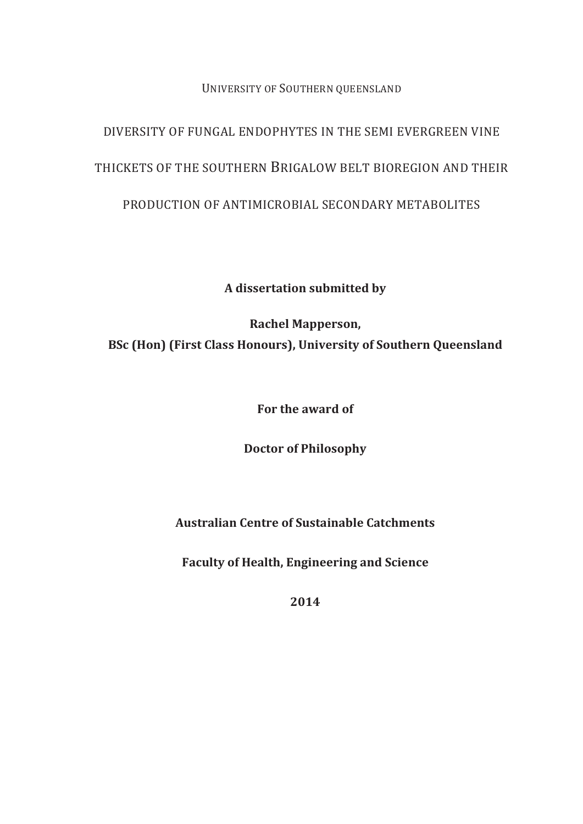UNIVERSITY OF SOUTHERN QUEENSLAND

# DIVERSITY OF FUNGAL ENDOPHYTES IN THE SEMI EVERGREEN VINE THICKETS OF THE SOUTHERN BRIGALOW BELT BIOREGION AND THEIR PRODUCTION OF ANTIMICROBIAL SECONDARY METABOLITES

**A dissertation submitted by** 

**Rachel Mapperson, BSc (Hon) (First Class Honours), University of Southern Queensland** 

**For the award of** 

**Doctor of Philosophy** 

**Australian Centre of Sustainable Catchments** 

**Faculty of Health, Engineering and Science** 

**2014**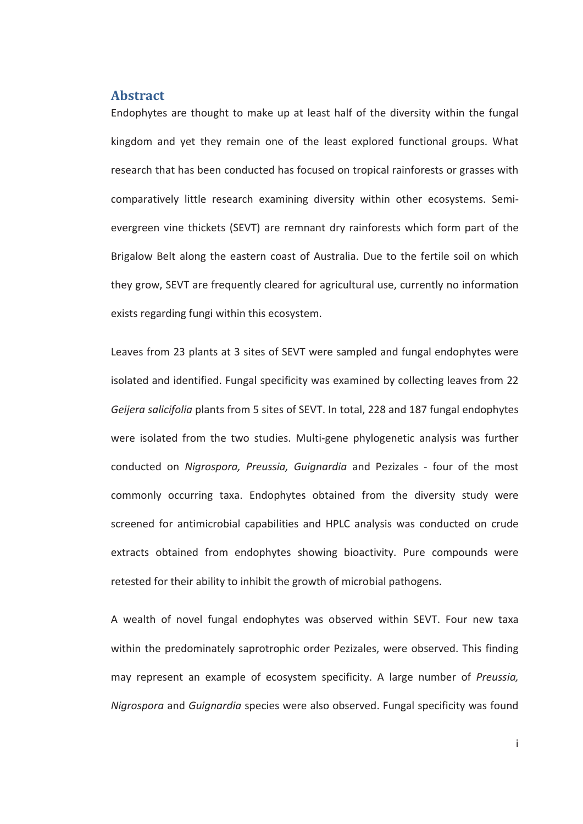#### **Abstract**

Endophytes are thought to make up at least half of the diversity within the fungal kingdom and yet they remain one of the least explored functional groups. What research that has been conducted has focused on tropical rainforests or grasses with comparatively little research examining diversity within other ecosystems. Semievergreen vine thickets (SEVT) are remnant dry rainforests which form part of the Brigalow Belt along the eastern coast of Australia. Due to the fertile soil on which they grow, SEVT are frequently cleared for agricultural use, currently no information exists regarding fungi within this ecosystem.

Leaves from 23 plants at 3 sites of SEVT were sampled and fungal endophytes were isolated and identified. Fungal specificity was examined by collecting leaves from 22 *Geijera salicifolia* plants from 5 sites of SEVT. In total, 228 and 187 fungal endophytes were isolated from the two studies. Multi-gene phylogenetic analysis was further conducted on *Nigrospora, Preussia, Guignardia* and Pezizales - four of the most commonly occurring taxa. Endophytes obtained from the diversity study were screened for antimicrobial capabilities and HPLC analysis was conducted on crude extracts obtained from endophytes showing bioactivity. Pure compounds were retested for their ability to inhibit the growth of microbial pathogens.

A wealth of novel fungal endophytes was observed within SEVT. Four new taxa within the predominately saprotrophic order Pezizales, were observed. This finding may represent an example of ecosystem specificity. A large number of *Preussia, Nigrospora* and *Guignardia* species were also observed. Fungal specificity was found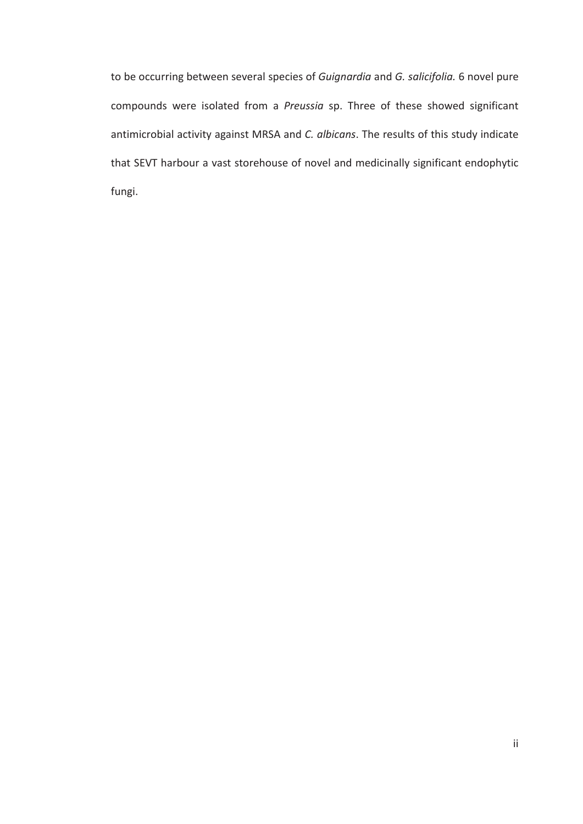to be occurring between several species of *Guignardia* and *G. salicifolia.* 6 novel pure compounds were isolated from a *Preussia* sp. Three of these showed significant antimicrobial activity against MRSA and *C. albicans*. The results of this study indicate that SEVT harbour a vast storehouse of novel and medicinally significant endophytic fungi.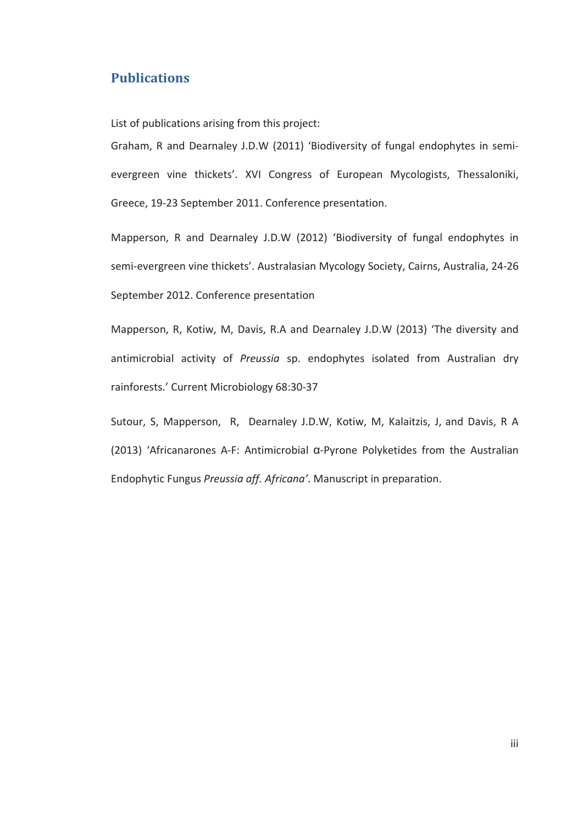#### **Publications**

List of publications arising from this project:

Graham, R and Dearnaley J.D.W (2011) 'Biodiversity of fungal endophytes in semievergreen vine thickets'. XVI Congress of European Mycologists, Thessaloniki, Greece, 19-23 September 2011. Conference presentation.

Mapperson, R and Dearnaley J.D.W (2012) 'Biodiversity of fungal endophytes in semi-evergreen vine thickets'. Australasian Mycology Society, Cairns, Australia, 24-26 September 2012. Conference presentation

Mapperson, R, Kotiw, M, Davis, R.A and Dearnaley J.D.W (2013) 'The diversity and antimicrobial activity of *Preussia* sp. endophytes isolated from Australian dry rainforests.' Current Microbiology 68:30-37

Sutour, S, Mapperson, R, Dearnaley J.D.W, Kotiw, M, Kalaitzis, J, and Davis, R A (2013) 'Africanarones A-F: Antimicrobial  $\alpha$ -Pyrone Polyketides from the Australian Endophytic Fungus *Preussia aff. Africana'*. Manuscript in preparation.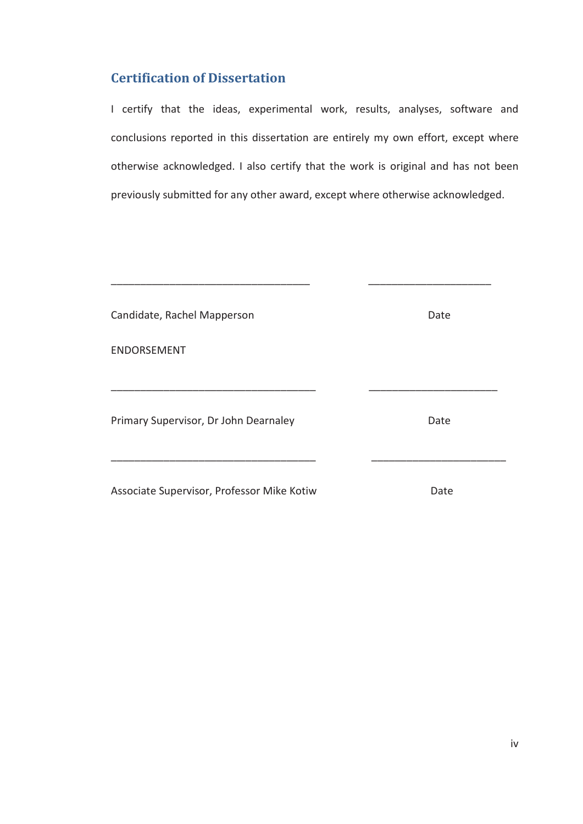### **Certification of Dissertation**

I certify that the ideas, experimental work, results, analyses, software and conclusions reported in this dissertation are entirely my own effort, except where otherwise acknowledged. I also certify that the work is original and has not been previously submitted for any other award, except where otherwise acknowledged.

| Candidate, Rachel Mapperson                | Date |
|--------------------------------------------|------|
| <b>ENDORSEMENT</b>                         |      |
| Primary Supervisor, Dr John Dearnaley      | Date |
| Associate Supervisor, Professor Mike Kotiw | Date |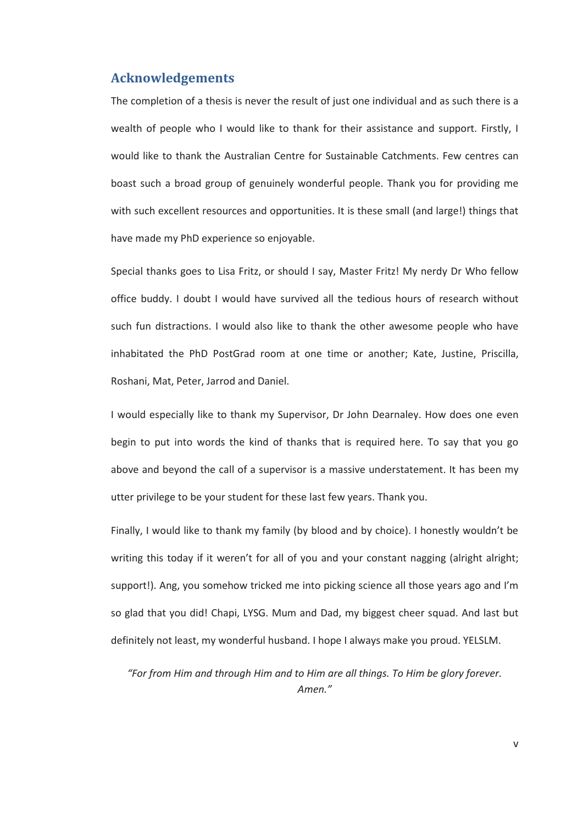#### **Acknowledgements**

The completion of a thesis is never the result of just one individual and as such there is a wealth of people who I would like to thank for their assistance and support. Firstly, I would like to thank the Australian Centre for Sustainable Catchments. Few centres can boast such a broad group of genuinely wonderful people. Thank you for providing me with such excellent resources and opportunities. It is these small (and large!) things that have made my PhD experience so enjoyable.

Special thanks goes to Lisa Fritz, or should I say, Master Fritz! My nerdy Dr Who fellow office buddy. I doubt I would have survived all the tedious hours of research without such fun distractions. I would also like to thank the other awesome people who have inhabitated the PhD PostGrad room at one time or another; Kate, Justine, Priscilla, Roshani, Mat, Peter, Jarrod and Daniel.

I would especially like to thank my Supervisor, Dr John Dearnaley. How does one even begin to put into words the kind of thanks that is required here. To say that you go above and beyond the call of a supervisor is a massive understatement. It has been my utter privilege to be your student for these last few years. Thank you.

Finally, I would like to thank my family (by blood and by choice). I honestly wouldn't be writing this today if it weren't for all of you and your constant nagging (alright alright; support!). Ang, you somehow tricked me into picking science all those years ago and I'm so glad that you did! Chapi, LYSG. Mum and Dad, my biggest cheer squad. And last but definitely not least, my wonderful husband. I hope I always make you proud. YELSLM.

*"For from Him and through Him and to Him are all things. To Him be glory forever. Amen."*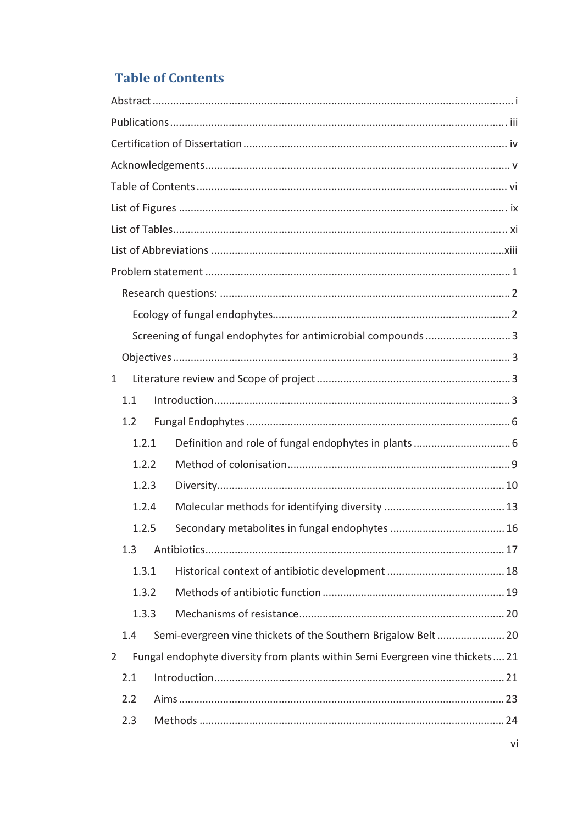# **Table of Contents**

| Screening of fungal endophytes for antimicrobial compounds 3                       |
|------------------------------------------------------------------------------------|
|                                                                                    |
| $\mathbf{1}$                                                                       |
| 1.1                                                                                |
| 1.2                                                                                |
| 1.2.1                                                                              |
| 1.2.2                                                                              |
| 1.2.3                                                                              |
| 1.2.4                                                                              |
| 1.2.5                                                                              |
| 1.3                                                                                |
| 1.3.1                                                                              |
| 1.3.2                                                                              |
| 1.3.3                                                                              |
| Semi-evergreen vine thickets of the Southern Brigalow Belt 20<br>1.4               |
| Fungal endophyte diversity from plants within Semi Evergreen vine thickets 21<br>2 |
| 2.1                                                                                |
| 2.2                                                                                |
| 2.3                                                                                |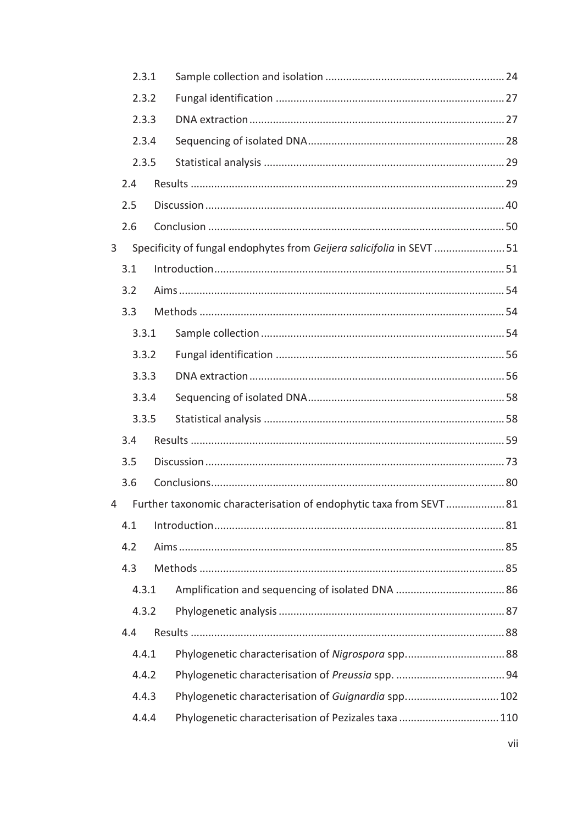|     | 2.3.1 |                                                                      |  |
|-----|-------|----------------------------------------------------------------------|--|
|     | 2.3.2 |                                                                      |  |
|     | 2.3.3 |                                                                      |  |
|     | 2.3.4 |                                                                      |  |
|     | 2.3.5 |                                                                      |  |
| 2.4 |       |                                                                      |  |
| 2.5 |       |                                                                      |  |
| 2.6 |       |                                                                      |  |
| 3   |       | Specificity of fungal endophytes from Geijera salicifolia in SEVT 51 |  |
| 3.1 |       |                                                                      |  |
| 3.2 |       |                                                                      |  |
| 3.3 |       |                                                                      |  |
|     | 3.3.1 |                                                                      |  |
|     | 3.3.2 |                                                                      |  |
|     | 3.3.3 |                                                                      |  |
|     | 3.3.4 |                                                                      |  |
|     | 3.3.5 |                                                                      |  |
| 3.4 |       |                                                                      |  |
| 3.5 |       |                                                                      |  |
| 3.6 |       |                                                                      |  |
| 4   |       | Further taxonomic characterisation of endophytic taxa from SEVT 81   |  |
| 4.1 |       |                                                                      |  |
| 4.2 |       |                                                                      |  |
| 4.3 |       |                                                                      |  |
|     | 4.3.1 |                                                                      |  |
|     | 4.3.2 |                                                                      |  |
| 4.4 |       |                                                                      |  |
|     | 4.4.1 |                                                                      |  |
|     | 4.4.2 |                                                                      |  |
|     | 4.4.3 | Phylogenetic characterisation of Guignardia spp 102                  |  |
|     | 4.4.4 | Phylogenetic characterisation of Pezizales taxa  110                 |  |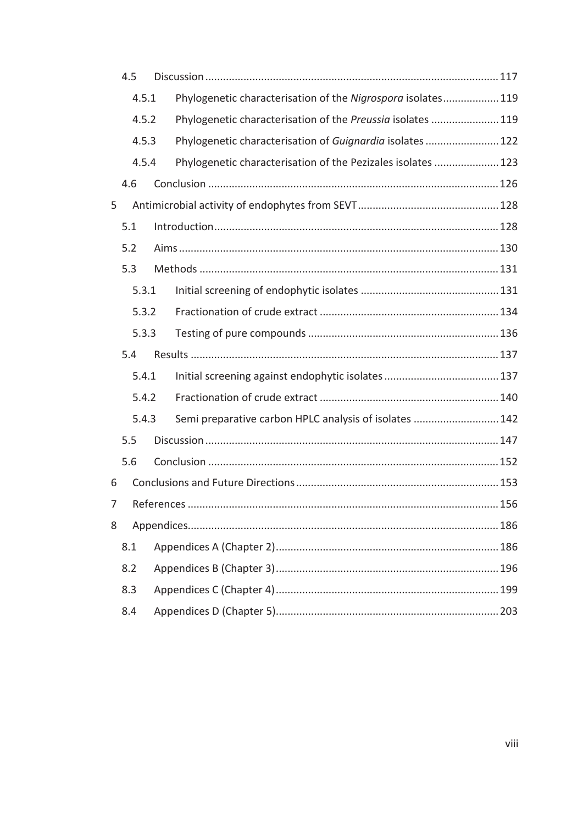|   | 4.5 |       |                                                              |  |
|---|-----|-------|--------------------------------------------------------------|--|
|   |     | 4.5.1 | Phylogenetic characterisation of the Nigrospora isolates 119 |  |
|   |     | 4.5.2 | Phylogenetic characterisation of the Preussia isolates 119   |  |
|   |     | 4.5.3 | Phylogenetic characterisation of Guignardia isolates  122    |  |
|   |     | 4.5.4 | Phylogenetic characterisation of the Pezizales isolates  123 |  |
|   | 4.6 |       |                                                              |  |
| 5 |     |       |                                                              |  |
|   | 5.1 |       |                                                              |  |
|   | 5.2 |       |                                                              |  |
|   | 5.3 |       |                                                              |  |
|   |     | 5.3.1 |                                                              |  |
|   |     | 5.3.2 |                                                              |  |
|   |     | 5.3.3 |                                                              |  |
|   | 5.4 |       |                                                              |  |
|   |     |       |                                                              |  |
|   |     | 5.4.1 |                                                              |  |
|   |     | 5.4.2 |                                                              |  |
|   |     | 5.4.3 | Semi preparative carbon HPLC analysis of isolates  142       |  |
|   | 5.5 |       |                                                              |  |
|   | 5.6 |       |                                                              |  |
| 6 |     |       |                                                              |  |
| 7 |     |       |                                                              |  |
| 8 |     |       |                                                              |  |
|   | 8.1 |       |                                                              |  |
|   | 8.2 |       |                                                              |  |
|   | 8.3 |       |                                                              |  |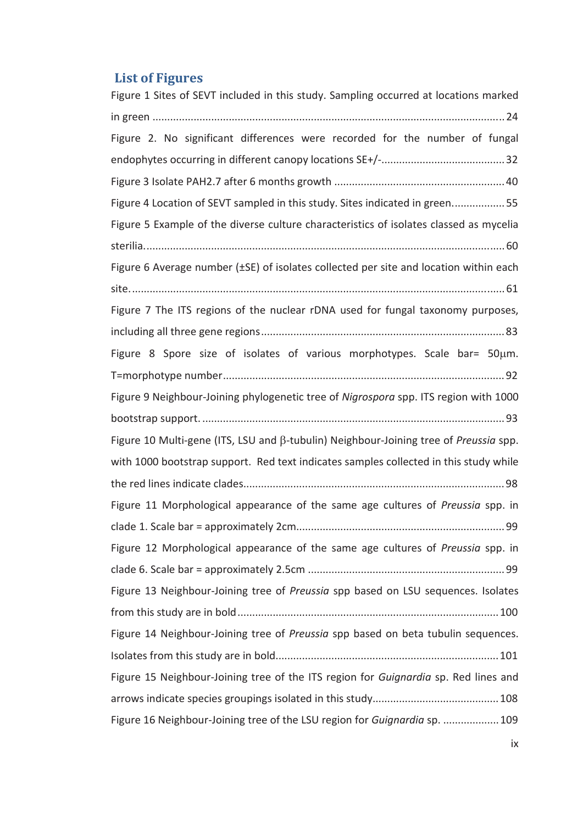# **List of Figures**

| Figure 1 Sites of SEVT included in this study. Sampling occurred at locations marked         |
|----------------------------------------------------------------------------------------------|
|                                                                                              |
| Figure 2. No significant differences were recorded for the number of fungal                  |
|                                                                                              |
|                                                                                              |
| Figure 4 Location of SEVT sampled in this study. Sites indicated in green55                  |
| Figure 5 Example of the diverse culture characteristics of isolates classed as mycelia       |
|                                                                                              |
| Figure 6 Average number (±SE) of isolates collected per site and location within each        |
|                                                                                              |
| Figure 7 The ITS regions of the nuclear rDNA used for fungal taxonomy purposes,              |
|                                                                                              |
| Figure 8 Spore size of isolates of various morphotypes. Scale bar= 50µm.                     |
|                                                                                              |
| Figure 9 Neighbour-Joining phylogenetic tree of Nigrospora spp. ITS region with 1000         |
|                                                                                              |
| Figure 10 Multi-gene (ITS, LSU and $\beta$ -tubulin) Neighbour-Joining tree of Preussia spp. |
| with 1000 bootstrap support. Red text indicates samples collected in this study while        |
|                                                                                              |
|                                                                                              |
| Figure 11 Morphological appearance of the same age cultures of Preussia spp. in              |
|                                                                                              |
| Figure 12 Morphological appearance of the same age cultures of Preussia spp. in              |
|                                                                                              |
| Figure 13 Neighbour-Joining tree of Preussia spp based on LSU sequences. Isolates            |
|                                                                                              |
| Figure 14 Neighbour-Joining tree of Preussia spp based on beta tubulin sequences.            |
|                                                                                              |
| Figure 15 Neighbour-Joining tree of the ITS region for Guignardia sp. Red lines and          |
|                                                                                              |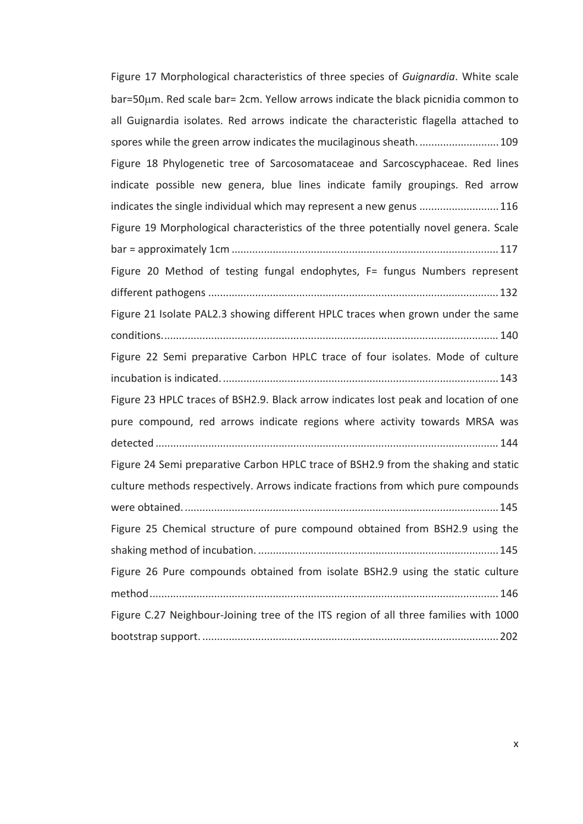Figure 17 Morphological characteristics of three species of *Guignardia*. White scale bar=50um. Red scale bar= 2cm. Yellow arrows indicate the black picnidia common to all Guignardia isolates. Red arrows indicate the characteristic flagella attached to spores while the green arrow indicates the mucilaginous sheath. ........................... 109 Figure 18 Phylogenetic tree of Sarcosomataceae and Sarcoscyphaceae. Red lines indicate possible new genera, blue lines indicate family groupings. Red arrow indicates the single individual which may represent a new genus ........................... 116 Figure 19 Morphological characteristics of the three potentially novel genera. Scale bar = approximately 1cm ........................................................................................... 117 Figure 20 Method of testing fungal endophytes, F= fungus Numbers represent different pathogens ................................................................................................... 132 Figure 21 Isolate PAL2.3 showing different HPLC traces when grown under the same conditions. .................................................................................................................. 140 Figure 22 Semi preparative Carbon HPLC trace of four isolates. Mode of culture incubation is indicated. .............................................................................................. 143 Figure 23 HPLC traces of BSH2.9. Black arrow indicates lost peak and location of one pure compound, red arrows indicate regions where activity towards MRSA was detected ..................................................................................................................... 144 Figure 24 Semi preparative Carbon HPLC trace of BSH2.9 from the shaking and static culture methods respectively. Arrows indicate fractions from which pure compounds were obtained. ........................................................................................................... 145 Figure 25 Chemical structure of pure compound obtained from BSH2.9 using the shaking method of incubation. .................................................................................. 145 Figure 26 Pure compounds obtained from isolate BSH2.9 using the static culture method ....................................................................................................................... 146 Figure C.27 Neighbour-Joining tree of the ITS region of all three families with 1000 bootstrap support. ..................................................................................................... 202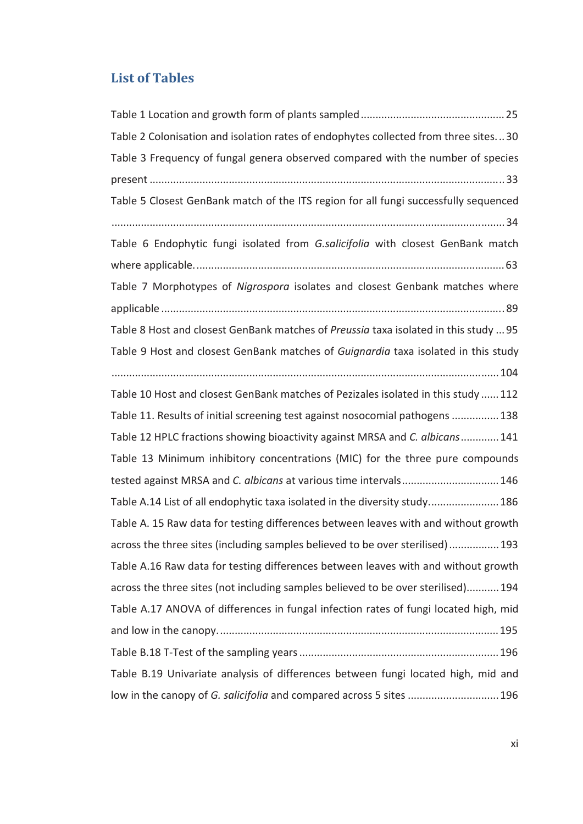# **List of Tables**

| Table 2 Colonisation and isolation rates of endophytes collected from three sites30  |
|--------------------------------------------------------------------------------------|
| Table 3 Frequency of fungal genera observed compared with the number of species      |
|                                                                                      |
| Table 5 Closest GenBank match of the ITS region for all fungi successfully sequenced |
|                                                                                      |
| Table 6 Endophytic fungi isolated from G.salicifolia with closest GenBank match      |
|                                                                                      |
| Table 7 Morphotypes of Nigrospora isolates and closest Genbank matches where         |
|                                                                                      |
| Table 8 Host and closest GenBank matches of Preussia taxa isolated in this study  95 |
| Table 9 Host and closest GenBank matches of Guignardia taxa isolated in this study   |
|                                                                                      |
| Table 10 Host and closest GenBank matches of Pezizales isolated in this study  112   |
| Table 11. Results of initial screening test against nosocomial pathogens  138        |
| Table 12 HPLC fractions showing bioactivity against MRSA and C. albicans141          |
| Table 13 Minimum inhibitory concentrations (MIC) for the three pure compounds        |
| tested against MRSA and C. albicans at various time intervals 146                    |
| Table A.14 List of all endophytic taxa isolated in the diversity study 186           |
| Table A. 15 Raw data for testing differences between leaves with and without growth  |
| across the three sites (including samples believed to be over sterilised) 193        |
| Table A.16 Raw data for testing differences between leaves with and without growth   |
| across the three sites (not including samples believed to be over sterilised) 194    |
| Table A.17 ANOVA of differences in fungal infection rates of fungi located high, mid |
|                                                                                      |
|                                                                                      |
| Table B.19 Univariate analysis of differences between fungi located high, mid and    |
| low in the canopy of G. salicifolia and compared across 5 sites  196                 |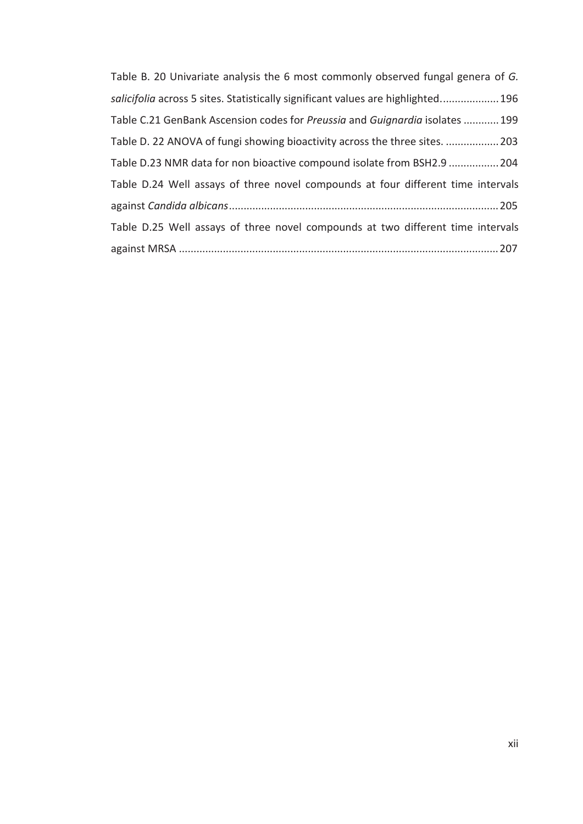| Table B. 20 Univariate analysis the 6 most commonly observed fungal genera of G. |
|----------------------------------------------------------------------------------|
| salicifolia across 5 sites. Statistically significant values are highlighted 196 |
| Table C.21 GenBank Ascension codes for Preussia and Guignardia isolates  199     |
| Table D. 22 ANOVA of fungi showing bioactivity across the three sites.  203      |
| Table D.23 NMR data for non bioactive compound isolate from BSH2.9  204          |
| Table D.24 Well assays of three novel compounds at four different time intervals |
|                                                                                  |
| Table D.25 Well assays of three novel compounds at two different time intervals  |
|                                                                                  |